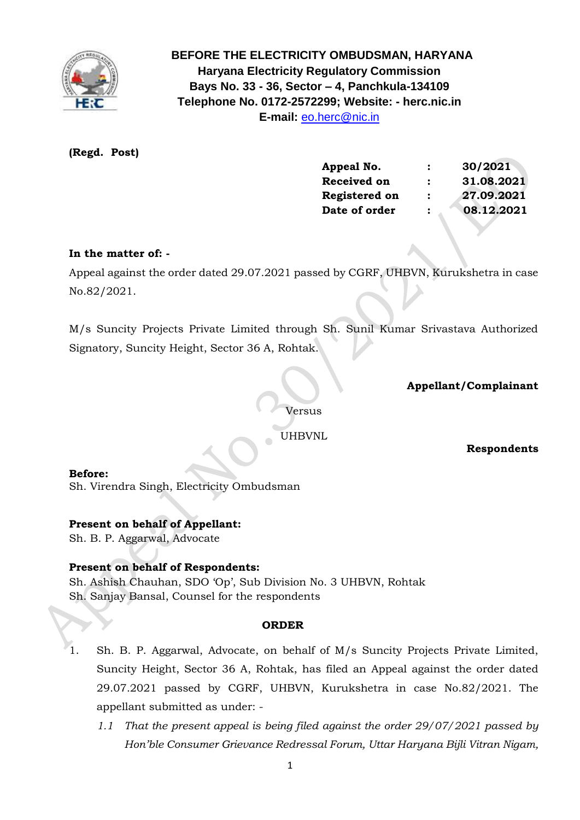

 **BEFORE THE ELECTRICITY OMBUDSMAN, HARYANA Haryana Electricity Regulatory Commission Bays No. 33 - 36, Sector – 4, Panchkula-134109 Telephone No. 0172-2572299; Website: - herc.nic.in E-mail:** [eo.herc@nic.in](mailto:eo.herc@nic.in)

# **(Regd. Post)**

| Appeal No.         |                      | 30/2021    |
|--------------------|----------------------|------------|
| <b>Received on</b> | $\ddot{\phantom{a}}$ | 31.08.2021 |
| Registered on      | :                    | 27.09.2021 |
| Date of order      |                      | 08.12.2021 |

## **In the matter of: -**

Appeal against the order dated 29.07.2021 passed by CGRF, UHBVN, Kurukshetra in case No.82/2021.

M/s Suncity Projects Private Limited through Sh. Sunil Kumar Srivastava Authorized Signatory, Suncity Height, Sector 36 A, Rohtak.

## **Appellant/Complainant**

Versus

UHBVNL

 **Respondents**

### **Before:**

Sh. Virendra Singh, Electricity Ombudsman

### **Present on behalf of Appellant:**

Sh. B. P. Aggarwal, Advocate

### **Present on behalf of Respondents:**

Sh. Ashish Chauhan, SDO 'Op', Sub Division No. 3 UHBVN, Rohtak Sh. Sanjay Bansal, Counsel for the respondents

#### **ORDER**

- 1. Sh. B. P. Aggarwal, Advocate, on behalf of M/s Suncity Projects Private Limited, Suncity Height, Sector 36 A, Rohtak, has filed an Appeal against the order dated 29.07.2021 passed by CGRF, UHBVN, Kurukshetra in case No.82/2021. The appellant submitted as under: -
	- *1.1 That the present appeal is being filed against the order 29/07/2021 passed by Hon'ble Consumer Grievance Redressal Forum, Uttar Haryana Bijli Vitran Nigam,*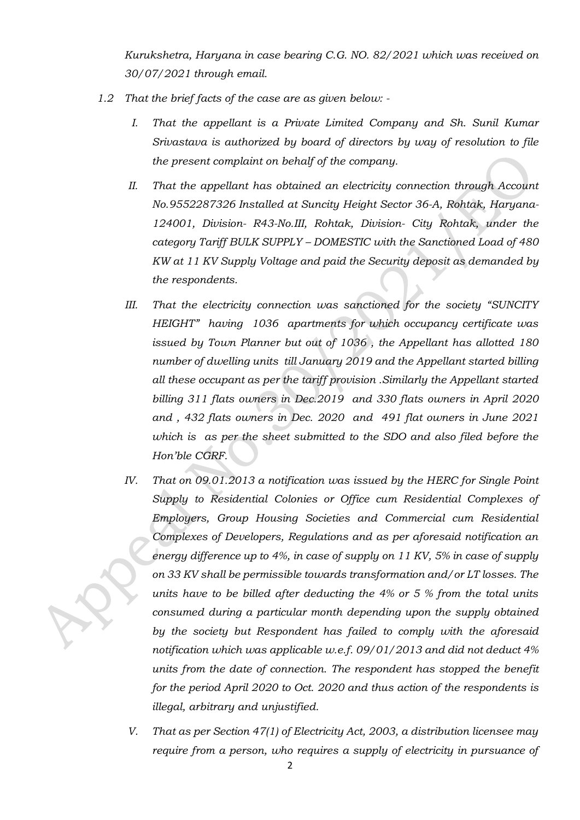*Kurukshetra, Haryana in case bearing C.G. NO. 82/2021 which was received on 30/07/2021 through email.*

- *1.2 That the brief facts of the case are as given below: -*
	- *I. That the appellant is a Private Limited Company and Sh. Sunil Kumar Srivastava is authorized by board of directors by way of resolution to file the present complaint on behalf of the company.*
	- *II. That the appellant has obtained an electricity connection through Account No.9552287326 Installed at Suncity Height Sector 36-A, Rohtak, Haryana-124001, Division- R43-No.III, Rohtak, Division- City Rohtak, under the category Tariff BULK SUPPLY – DOMESTIC with the Sanctioned Load of 480 KW at 11 KV Supply Voltage and paid the Security deposit as demanded by the respondents.*
	- *III. That the electricity connection was sanctioned for the society "SUNCITY HEIGHT" having 1036 apartments for which occupancy certificate was issued by Town Planner but out of 1036 , the Appellant has allotted 180 number of dwelling units till January 2019 and the Appellant started billing all these occupant as per the tariff provision .Similarly the Appellant started billing 311 flats owners in Dec.2019 and 330 flats owners in April 2020 and , 432 flats owners in Dec. 2020 and 491 flat owners in June 2021 which is as per the sheet submitted to the SDO and also filed before the Hon'ble CGRF.*
	- *IV. That on 09.01.2013 a notification was issued by the HERC for Single Point Supply to Residential Colonies or Office cum Residential Complexes of Employers, Group Housing Societies and Commercial cum Residential Complexes of Developers, Regulations and as per aforesaid notification an energy difference up to 4%, in case of supply on 11 KV, 5% in case of supply on 33 KV shall be permissible towards transformation and/or LT losses. The units have to be billed after deducting the 4% or 5 % from the total units consumed during a particular month depending upon the supply obtained by the society but Respondent has failed to comply with the aforesaid notification which was applicable w.e.f. 09/01/2013 and did not deduct 4% units from the date of connection. The respondent has stopped the benefit for the period April 2020 to Oct. 2020 and thus action of the respondents is illegal, arbitrary and unjustified.*
		- *V. That as per Section 47(1) of Electricity Act, 2003, a distribution licensee may require from a person, who requires a supply of electricity in pursuance of*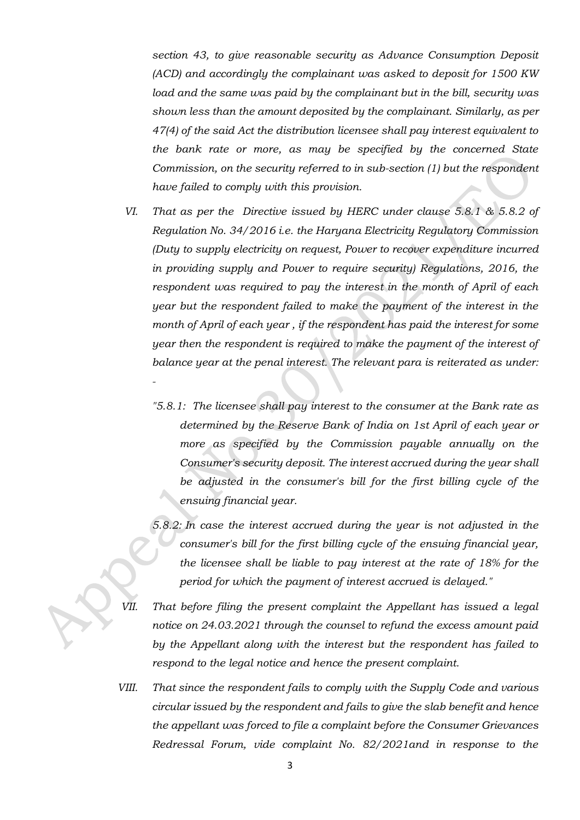*section 43, to give reasonable security as Advance Consumption Deposit (ACD) and accordingly the complainant was asked to deposit for 1500 KW load and the same was paid by the complainant but in the bill, security was shown less than the amount deposited by the complainant. Similarly, as per 47(4) of the said Act the distribution licensee shall pay interest equivalent to the bank rate or more, as may be specified by the concerned State Commission, on the security referred to in sub-section (1) but the respondent have failed to comply with this provision.*

- *VI. That as per the Directive issued by HERC under clause 5.8.1 & 5.8.2 of Regulation No. 34/2016 i.e. the Haryana Electricity Regulatory Commission (Duty to supply electricity on request, Power to recover expenditure incurred in providing supply and Power to require security) Regulations, 2016, the respondent was required to pay the interest in the month of April of each year but the respondent failed to make the payment of the interest in the month of April of each year , if the respondent has paid the interest for some year then the respondent is required to make the payment of the interest of balance year at the penal interest. The relevant para is reiterated as under: -*
	- *"5.8.1: The licensee shall pay interest to the consumer at the Bank rate as determined by the Reserve Bank of India on 1st April of each year or more as specified by the Commission payable annually on the Consumer's security deposit. The interest accrued during the year shall be adjusted in the consumer's bill for the first billing cycle of the ensuing financial year.*
	- *5.8.2: In case the interest accrued during the year is not adjusted in the consumer's bill for the first billing cycle of the ensuing financial year, the licensee shall be liable to pay interest at the rate of 18% for the period for which the payment of interest accrued is delayed."*
- *VII. That before filing the present complaint the Appellant has issued a legal notice on 24.03.2021 through the counsel to refund the excess amount paid by the Appellant along with the interest but the respondent has failed to respond to the legal notice and hence the present complaint.*
- *VIII. That since the respondent fails to comply with the Supply Code and various circular issued by the respondent and fails to give the slab benefit and hence the appellant was forced to file a complaint before the Consumer Grievances Redressal Forum, vide complaint No. 82/2021and in response to the*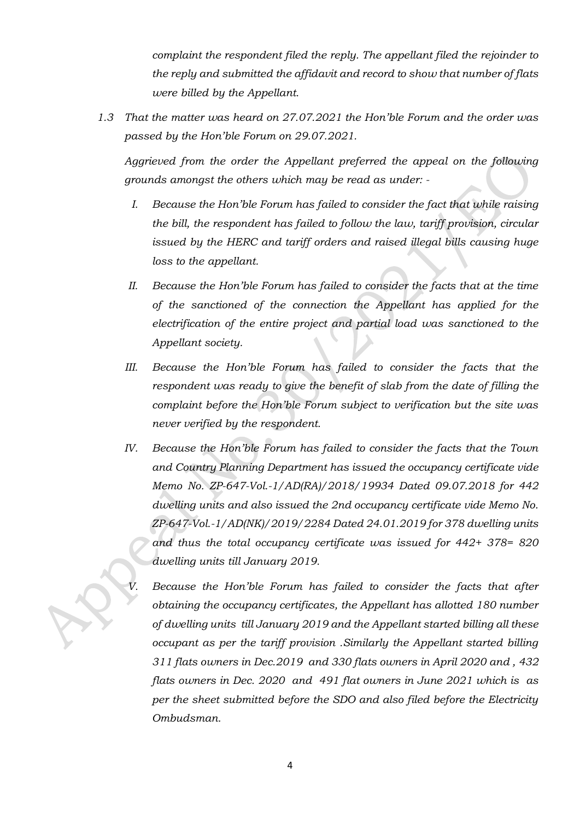*complaint the respondent filed the reply. The appellant filed the rejoinder to the reply and submitted the affidavit and record to show that number of flats were billed by the Appellant.*

*1.3 That the matter was heard on 27.07.2021 the Hon'ble Forum and the order was passed by the Hon'ble Forum on 29.07.2021.*

*Aggrieved from the order the Appellant preferred the appeal on the following grounds amongst the others which may be read as under: -*

- *I. Because the Hon'ble Forum has failed to consider the fact that while raising the bill, the respondent has failed to follow the law, tariff provision, circular issued by the HERC and tariff orders and raised illegal bills causing huge loss to the appellant.*
- *II. Because the Hon'ble Forum has failed to consider the facts that at the time of the sanctioned of the connection the Appellant has applied for the electrification of the entire project and partial load was sanctioned to the Appellant society.*
- III. Because the Hon'ble Forum has failed to consider the facts that the *respondent was ready to give the benefit of slab from the date of filling the complaint before the Hon'ble Forum subject to verification but the site was never verified by the respondent.*
- *IV. Because the Hon'ble Forum has failed to consider the facts that the Town and Country Planning Department has issued the occupancy certificate vide Memo No. ZP-647-Vol.-1/AD(RA)/2018/19934 Dated 09.07.2018 for 442 dwelling units and also issued the 2nd occupancy certificate vide Memo No. ZP-647-Vol.-1/AD(NK)/2019/2284 Dated 24.01.2019 for 378 dwelling units and thus the total occupancy certificate was issued for 442+ 378= 820 dwelling units till January 2019.*

*V. Because the Hon'ble Forum has failed to consider the facts that after obtaining the occupancy certificates, the Appellant has allotted 180 number of dwelling units till January 2019 and the Appellant started billing all these occupant as per the tariff provision .Similarly the Appellant started billing 311 flats owners in Dec.2019 and 330 flats owners in April 2020 and , 432 flats owners in Dec. 2020 and 491 flat owners in June 2021 which is as per the sheet submitted before the SDO and also filed before the Electricity Ombudsman.*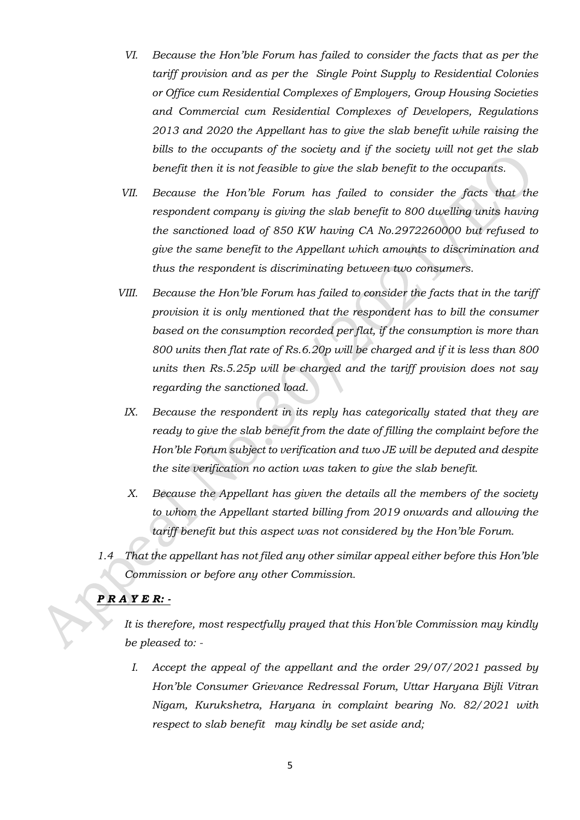- *VI. Because the Hon'ble Forum has failed to consider the facts that as per the tariff provision and as per the Single Point Supply to Residential Colonies or Office cum Residential Complexes of Employers, Group Housing Societies and Commercial cum Residential Complexes of Developers, Regulations 2013 and 2020 the Appellant has to give the slab benefit while raising the bills to the occupants of the society and if the society will not get the slab benefit then it is not feasible to give the slab benefit to the occupants.*
- *VII. Because the Hon'ble Forum has failed to consider the facts that the respondent company is giving the slab benefit to 800 dwelling units having the sanctioned load of 850 KW having CA No.2972260000 but refused to give the same benefit to the Appellant which amounts to discrimination and thus the respondent is discriminating between two consumers.*
- *VIII. Because the Hon'ble Forum has failed to consider the facts that in the tariff provision it is only mentioned that the respondent has to bill the consumer based on the consumption recorded per flat, if the consumption is more than 800 units then flat rate of Rs.6.20p will be charged and if it is less than 800 units then Rs.5.25p will be charged and the tariff provision does not say regarding the sanctioned load.*
- *IX. Because the respondent in its reply has categorically stated that they are ready to give the slab benefit from the date of filling the complaint before the Hon'ble Forum subject to verification and two JE will be deputed and despite the site verification no action was taken to give the slab benefit.*
- *X. Because the Appellant has given the details all the members of the society to whom the Appellant started billing from 2019 onwards and allowing the tariff benefit but this aspect was not considered by the Hon'ble Forum.*
- *1.4 That the appellant has not filed any other similar appeal either before this Hon'ble Commission or before any other Commission.*

# *P R A Y E R: -*

*It is therefore, most respectfully prayed that this Hon'ble Commission may kindly be pleased to: -*

*I. Accept the appeal of the appellant and the order 29/07/2021 passed by Hon'ble Consumer Grievance Redressal Forum, Uttar Haryana Bijli Vitran Nigam, Kurukshetra, Haryana in complaint bearing No. 82/2021 with respect to slab benefit may kindly be set aside and;*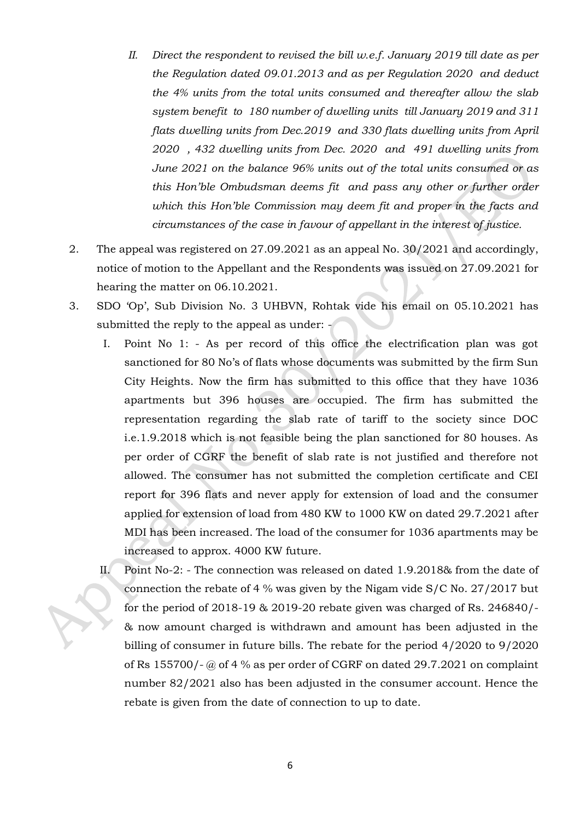- *II. Direct the respondent to revised the bill w.e.f. January 2019 till date as per the Regulation dated 09.01.2013 and as per Regulation 2020 and deduct the 4% units from the total units consumed and thereafter allow the slab system benefit to 180 number of dwelling units till January 2019 and 311 flats dwelling units from Dec.2019 and 330 flats dwelling units from April 2020 , 432 dwelling units from Dec. 2020 and 491 dwelling units from June 2021 on the balance 96% units out of the total units consumed or as this Hon'ble Ombudsman deems fit and pass any other or further order which this Hon'ble Commission may deem fit and proper in the facts and circumstances of the case in favour of appellant in the interest of justice.*
- 2. The appeal was registered on 27.09.2021 as an appeal No. 30/2021 and accordingly, notice of motion to the Appellant and the Respondents was issued on 27.09.2021 for hearing the matter on 06.10.2021.
- 3. SDO 'Op', Sub Division No. 3 UHBVN, Rohtak vide his email on 05.10.2021 has submitted the reply to the appeal as under: -
	- I. Point No 1: As per record of this office the electrification plan was got sanctioned for 80 No's of flats whose documents was submitted by the firm Sun City Heights. Now the firm has submitted to this office that they have 1036 apartments but 396 houses are occupied. The firm has submitted the representation regarding the slab rate of tariff to the society since DOC i.e.1.9.2018 which is not feasible being the plan sanctioned for 80 houses. As per order of CGRF the benefit of slab rate is not justified and therefore not allowed. The consumer has not submitted the completion certificate and CEI report for 396 flats and never apply for extension of load and the consumer applied for extension of load from 480 KW to 1000 KW on dated 29.7.2021 after MDI has been increased. The load of the consumer for 1036 apartments may be increased to approx. 4000 KW future.
	- II. Point No-2: The connection was released on dated 1.9.2018& from the date of connection the rebate of 4 % was given by the Nigam vide S/C No. 27/2017 but for the period of 2018-19 & 2019-20 rebate given was charged of Rs. 246840/- & now amount charged is withdrawn and amount has been adjusted in the billing of consumer in future bills. The rebate for the period 4/2020 to 9/2020 of Rs 155700/- @ of 4 % as per order of CGRF on dated 29.7.2021 on complaint number 82/2021 also has been adjusted in the consumer account. Hence the rebate is given from the date of connection to up to date.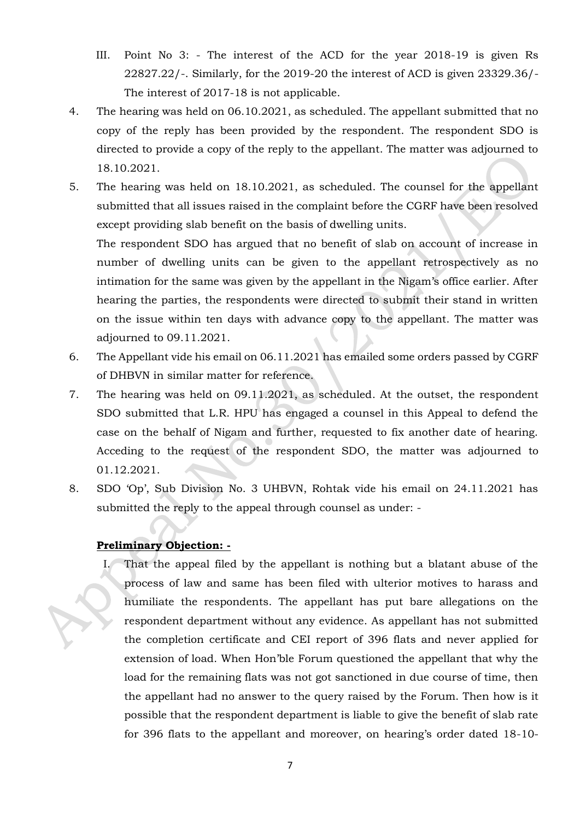- III. Point No 3: The interest of the ACD for the year 2018-19 is given Rs 22827.22/-. Similarly, for the 2019-20 the interest of ACD is given 23329.36/- The interest of 2017-18 is not applicable.
- 4. The hearing was held on 06.10.2021, as scheduled. The appellant submitted that no copy of the reply has been provided by the respondent. The respondent SDO is directed to provide a copy of the reply to the appellant. The matter was adjourned to 18.10.2021.
- 5. The hearing was held on 18.10.2021, as scheduled. The counsel for the appellant submitted that all issues raised in the complaint before the CGRF have been resolved except providing slab benefit on the basis of dwelling units.

The respondent SDO has argued that no benefit of slab on account of increase in number of dwelling units can be given to the appellant retrospectively as no intimation for the same was given by the appellant in the Nigam's office earlier. After hearing the parties, the respondents were directed to submit their stand in written on the issue within ten days with advance copy to the appellant. The matter was adjourned to 09.11.2021.

- 6. The Appellant vide his email on 06.11.2021 has emailed some orders passed by CGRF of DHBVN in similar matter for reference.
- 7. The hearing was held on 09.11.2021, as scheduled. At the outset, the respondent SDO submitted that L.R. HPU has engaged a counsel in this Appeal to defend the case on the behalf of Nigam and further, requested to fix another date of hearing. Acceding to the request of the respondent SDO, the matter was adjourned to 01.12.2021.
- 8. SDO 'Op', Sub Division No. 3 UHBVN, Rohtak vide his email on 24.11.2021 has submitted the reply to the appeal through counsel as under: -

# **Preliminary Objection: -**

I. That the appeal filed by the appellant is nothing but a blatant abuse of the process of law and same has been filed with ulterior motives to harass and humiliate the respondents. The appellant has put bare allegations on the respondent department without any evidence. As appellant has not submitted the completion certificate and CEI report of 396 flats and never applied for extension of load. When Hon'ble Forum questioned the appellant that why the load for the remaining flats was not got sanctioned in due course of time, then the appellant had no answer to the query raised by the Forum. Then how is it possible that the respondent department is liable to give the benefit of slab rate for 396 flats to the appellant and moreover, on hearing's order dated 18-10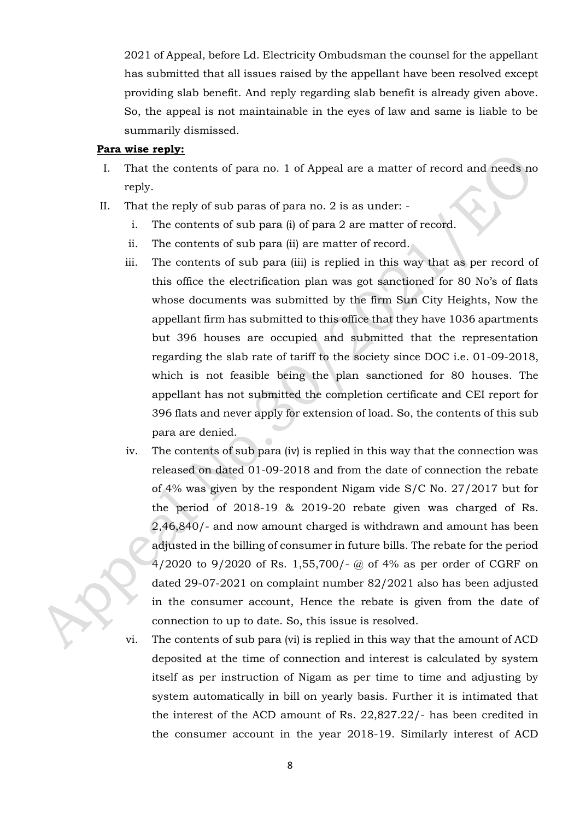2021 of Appeal, before Ld. Electricity Ombudsman the counsel for the appellant has submitted that all issues raised by the appellant have been resolved except providing slab benefit. And reply regarding slab benefit is already given above. So, the appeal is not maintainable in the eyes of law and same is liable to be summarily dismissed.

#### **Para wise reply:**

- I. That the contents of para no. 1 of Appeal are a matter of record and needs no reply.
- II. That the reply of sub paras of para no. 2 is as under:
	- i. The contents of sub para (i) of para 2 are matter of record.
	- ii. The contents of sub para (ii) are matter of record.
	- iii. The contents of sub para (iii) is replied in this way that as per record of this office the electrification plan was got sanctioned for 80 No's of flats whose documents was submitted by the firm Sun City Heights, Now the appellant firm has submitted to this office that they have 1036 apartments but 396 houses are occupied and submitted that the representation regarding the slab rate of tariff to the society since DOC i.e. 01-09-2018, which is not feasible being the plan sanctioned for 80 houses. The appellant has not submitted the completion certificate and CEI report for 396 flats and never apply for extension of load. So, the contents of this sub para are denied.
	- iv. The contents of sub para (iv) is replied in this way that the connection was released on dated 01-09-2018 and from the date of connection the rebate of 4% was given by the respondent Nigam vide S/C No. 27/2017 but for the period of 2018-19 & 2019-20 rebate given was charged of Rs. 2,46,840/- and now amount charged is withdrawn and amount has been adjusted in the billing of consumer in future bills. The rebate for the period 4/2020 to 9/2020 of Rs. 1,55,700/- @ of 4% as per order of CGRF on dated 29-07-2021 on complaint number 82/2021 also has been adjusted in the consumer account, Hence the rebate is given from the date of connection to up to date. So, this issue is resolved.

vi. The contents of sub para (vi) is replied in this way that the amount of ACD deposited at the time of connection and interest is calculated by system itself as per instruction of Nigam as per time to time and adjusting by system automatically in bill on yearly basis. Further it is intimated that the interest of the ACD amount of Rs. 22,827.22/- has been credited in the consumer account in the year 2018-19. Similarly interest of ACD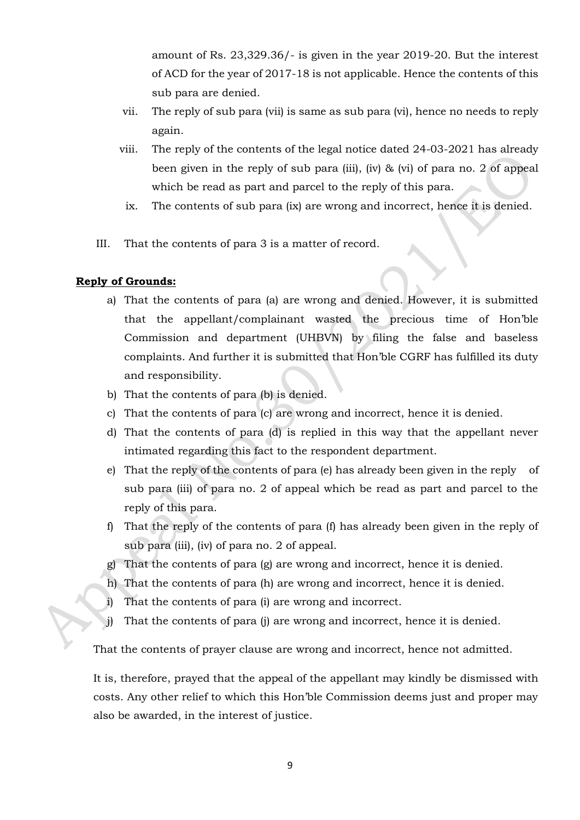amount of Rs. 23,329.36/- is given in the year 2019-20. But the interest of ACD for the year of 2017-18 is not applicable. Hence the contents of this sub para are denied.

- vii. The reply of sub para (vii) is same as sub para (vi), hence no needs to reply again.
- viii. The reply of the contents of the legal notice dated 24-03-2021 has already been given in the reply of sub para (iii), (iv) & (vi) of para no. 2 of appeal which be read as part and parcel to the reply of this para.
- ix. The contents of sub para (ix) are wrong and incorrect, hence it is denied.
- III. That the contents of para 3 is a matter of record.

## **Reply of Grounds:**

- a) That the contents of para (a) are wrong and denied. However, it is submitted that the appellant/complainant wasted the precious time of Hon'ble Commission and department (UHBVN) by filing the false and baseless complaints. And further it is submitted that Hon'ble CGRF has fulfilled its duty and responsibility.
- b) That the contents of para (b) is denied.
- c) That the contents of para (c) are wrong and incorrect, hence it is denied.
- d) That the contents of para (d) is replied in this way that the appellant never intimated regarding this fact to the respondent department.
- e) That the reply of the contents of para (e) has already been given in the reply of sub para (iii) of para no. 2 of appeal which be read as part and parcel to the reply of this para.
- f) That the reply of the contents of para (f) has already been given in the reply of sub para (iii), (iv) of para no. 2 of appeal.
- g) That the contents of para (g) are wrong and incorrect, hence it is denied.
- h) That the contents of para (h) are wrong and incorrect, hence it is denied.
- i) That the contents of para (i) are wrong and incorrect.
- j) That the contents of para (j) are wrong and incorrect, hence it is denied.

That the contents of prayer clause are wrong and incorrect, hence not admitted.

It is, therefore, prayed that the appeal of the appellant may kindly be dismissed with costs. Any other relief to which this Hon'ble Commission deems just and proper may also be awarded, in the interest of justice.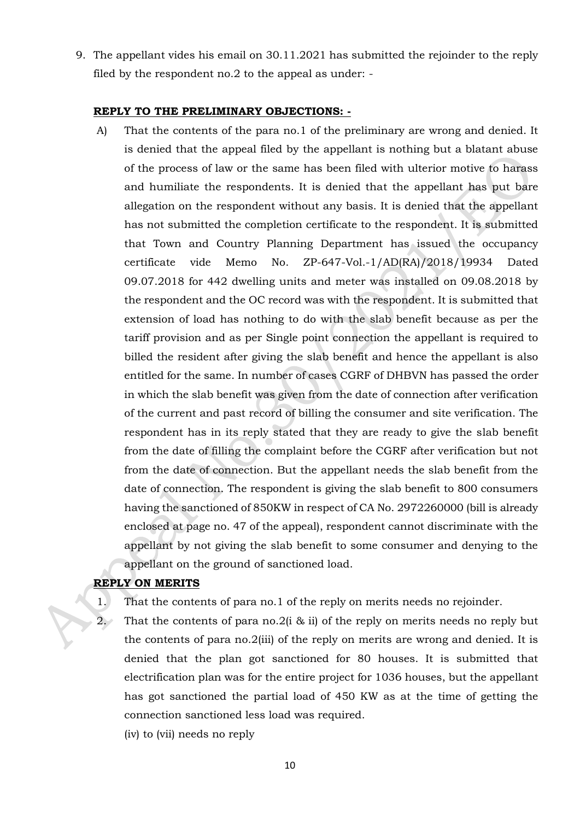9. The appellant vides his email on 30.11.2021 has submitted the rejoinder to the reply filed by the respondent no.2 to the appeal as under: -

#### **REPLY TO THE PRELIMINARY OBJECTIONS: -**

A) That the contents of the para no.1 of the preliminary are wrong and denied. It is denied that the appeal filed by the appellant is nothing but a blatant abuse of the process of law or the same has been filed with ulterior motive to harass and humiliate the respondents. It is denied that the appellant has put bare allegation on the respondent without any basis. It is denied that the appellant has not submitted the completion certificate to the respondent. It is submitted that Town and Country Planning Department has issued the occupancy certificate vide Memo No. ZP-647-Vol.-1/AD(RA)/2018/19934 Dated 09.07.2018 for 442 dwelling units and meter was installed on 09.08.2018 by the respondent and the OC record was with the respondent. It is submitted that extension of load has nothing to do with the slab benefit because as per the tariff provision and as per Single point connection the appellant is required to billed the resident after giving the slab benefit and hence the appellant is also entitled for the same. In number of cases CGRF of DHBVN has passed the order in which the slab benefit was given from the date of connection after verification of the current and past record of billing the consumer and site verification. The respondent has in its reply stated that they are ready to give the slab benefit from the date of filling the complaint before the CGRF after verification but not from the date of connection. But the appellant needs the slab benefit from the date of connection. The respondent is giving the slab benefit to 800 consumers having the sanctioned of 850KW in respect of CA No. 2972260000 (bill is already enclosed at page no. 47 of the appeal), respondent cannot discriminate with the appellant by not giving the slab benefit to some consumer and denying to the appellant on the ground of sanctioned load.

# **REPLY ON MERITS**

- 1. That the contents of para no.1 of the reply on merits needs no rejoinder.
- 2. That the contents of para no.2(i & ii) of the reply on merits needs no reply but the contents of para no.2(iii) of the reply on merits are wrong and denied. It is denied that the plan got sanctioned for 80 houses. It is submitted that electrification plan was for the entire project for 1036 houses, but the appellant has got sanctioned the partial load of 450 KW as at the time of getting the connection sanctioned less load was required.
	- (iv) to (vii) needs no reply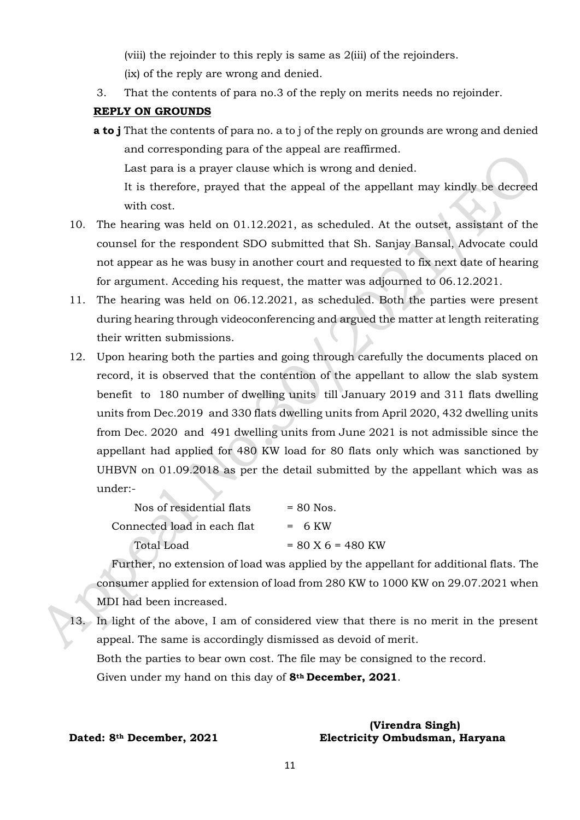(viii) the rejoinder to this reply is same as 2(iii) of the rejoinders.

(ix) of the reply are wrong and denied.

3. That the contents of para no.3 of the reply on merits needs no rejoinder.

## **REPLY ON GROUNDS**

**a to j** That the contents of para no. a to j of the reply on grounds are wrong and denied and corresponding para of the appeal are reaffirmed. Last para is a prayer clause which is wrong and denied. It is therefore, prayed that the appeal of the appellant may kindly be decreed

with cost.

- 10. The hearing was held on 01.12.2021, as scheduled. At the outset, assistant of the counsel for the respondent SDO submitted that Sh. Sanjay Bansal, Advocate could not appear as he was busy in another court and requested to fix next date of hearing for argument. Acceding his request, the matter was adjourned to 06.12.2021.
- 11. The hearing was held on 06.12.2021, as scheduled. Both the parties were present during hearing through videoconferencing and argued the matter at length reiterating their written submissions.
- 12. Upon hearing both the parties and going through carefully the documents placed on record, it is observed that the contention of the appellant to allow the slab system benefit to 180 number of dwelling units till January 2019 and 311 flats dwelling units from Dec.2019 and 330 flats dwelling units from April 2020, 432 dwelling units from Dec. 2020 and 491 dwelling units from June 2021 is not admissible since the appellant had applied for 480 KW load for 80 flats only which was sanctioned by UHBVN on 01.09.2018 as per the detail submitted by the appellant which was as under:-  $\blacktriangle$

| Nos of residential flats    | $= 80$ Nos.         |
|-----------------------------|---------------------|
| Connected load in each flat | $= 6$ KW            |
| <b>Total Load</b>           | $= 80$ X 6 = 480 KW |

Further, no extension of load was applied by the appellant for additional flats. The consumer applied for extension of load from 280 KW to 1000 KW on 29.07.2021 when MDI had been increased.

13. In light of the above, I am of considered view that there is no merit in the present appeal. The same is accordingly dismissed as devoid of merit. Both the parties to bear own cost. The file may be consigned to the record. Given under my hand on this day of **8th December, 2021**.

### **(Virendra Singh) Dated: 8th December, 2021 Electricity Ombudsman, Haryana**